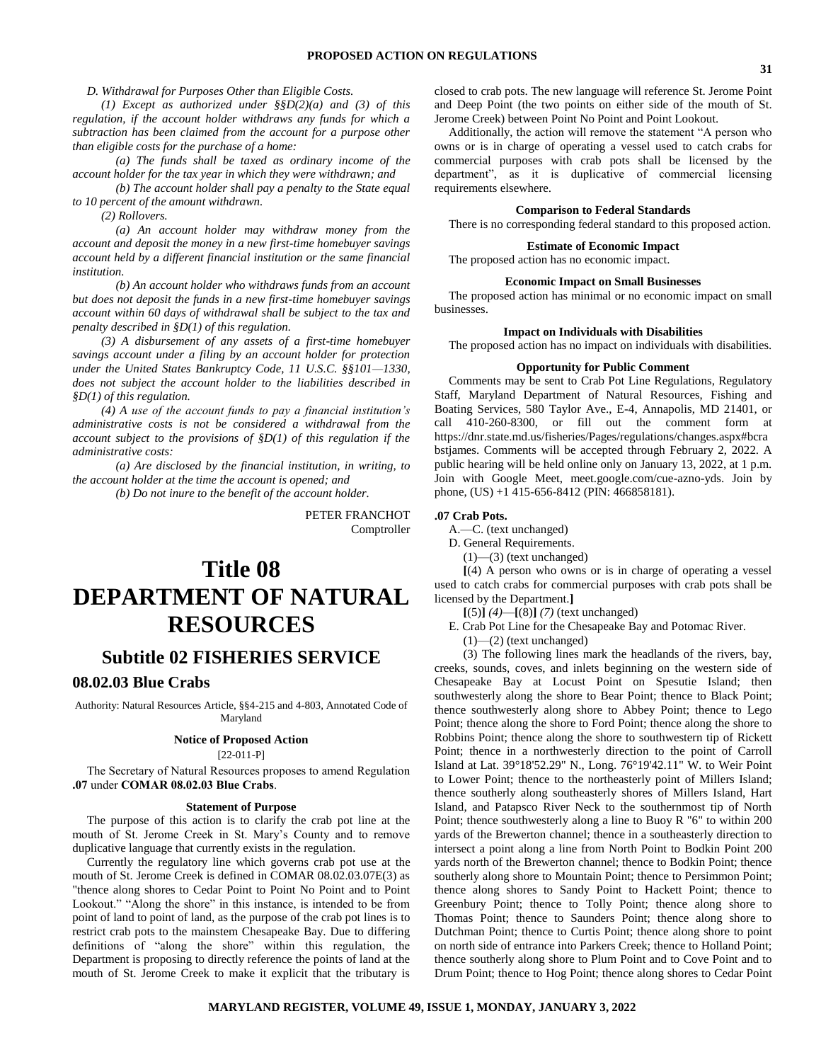*D. Withdrawal for Purposes Other than Eligible Costs.*

*(1) Except as authorized under §§D(2)(a) and (3) of this regulation, if the account holder withdraws any funds for which a subtraction has been claimed from the account for a purpose other than eligible costs for the purchase of a home:*

*(a) The funds shall be taxed as ordinary income of the account holder for the tax year in which they were withdrawn; and*

*(b) The account holder shall pay a penalty to the State equal to 10 percent of the amount withdrawn.*

*(2) Rollovers.*

*(a) An account holder may withdraw money from the account and deposit the money in a new first-time homebuyer savings account held by a different financial institution or the same financial institution.*

*(b) An account holder who withdraws funds from an account but does not deposit the funds in a new first-time homebuyer savings account within 60 days of withdrawal shall be subject to the tax and penalty described in §D(1) of this regulation.*

*(3) A disbursement of any assets of a first-time homebuyer savings account under a filing by an account holder for protection under the United States Bankruptcy Code, 11 U.S.C. §§101—1330, does not subject the account holder to the liabilities described in §D(1) of this regulation.*

*(4) A use of the account funds to pay a financial institution's administrative costs is not be considered a withdrawal from the account subject to the provisions of §D(1) of this regulation if the administrative costs:*

*(a) Are disclosed by the financial institution, in writing, to the account holder at the time the account is opened; and* 

*(b) Do not inure to the benefit of the account holder.*

PETER FRANCHOT Comptroller

# **Title 08 DEPARTMENT OF NATURAL RESOURCES**

# **Subtitle 02 FISHERIES SERVICE**

# **08.02.03 Blue Crabs**

Authority: Natural Resources Article, §§4-215 and 4-803, Annotated Code of Maryland

#### **Notice of Proposed Action**

[22-011-P]

The Secretary of Natural Resources proposes to amend Regulation **.07** under **COMAR 08.02.03 Blue Crabs**.

#### **Statement of Purpose**

The purpose of this action is to clarify the crab pot line at the mouth of St. Jerome Creek in St. Mary's County and to remove duplicative language that currently exists in the regulation.

Currently the regulatory line which governs crab pot use at the mouth of St. Jerome Creek is defined in COMAR 08.02.03.07E(3) as "thence along shores to Cedar Point to Point No Point and to Point Lookout." "Along the shore" in this instance, is intended to be from point of land to point of land, as the purpose of the crab pot lines is to restrict crab pots to the mainstem Chesapeake Bay. Due to differing definitions of "along the shore" within this regulation, the Department is proposing to directly reference the points of land at the mouth of St. Jerome Creek to make it explicit that the tributary is

closed to crab pots. The new language will reference St. Jerome Point and Deep Point (the two points on either side of the mouth of St. Jerome Creek) between Point No Point and Point Lookout.

Additionally, the action will remove the statement "A person who owns or is in charge of operating a vessel used to catch crabs for commercial purposes with crab pots shall be licensed by the department", as it is duplicative of commercial licensing requirements elsewhere.

#### **Comparison to Federal Standards**

There is no corresponding federal standard to this proposed action.

#### **Estimate of Economic Impact**

The proposed action has no economic impact.

#### **Economic Impact on Small Businesses**

The proposed action has minimal or no economic impact on small businesses.

#### **Impact on Individuals with Disabilities**

The proposed action has no impact on individuals with disabilities.

## **Opportunity for Public Comment**

Comments may be sent to Crab Pot Line Regulations, Regulatory Staff, Maryland Department of Natural Resources, Fishing and Boating Services, 580 Taylor Ave., E-4, Annapolis, MD 21401, or call 410-260-8300, or fill out the comment form at https://dnr.state.md.us/fisheries/Pages/regulations/changes.aspx#bcra bstjames. Comments will be accepted through February 2, 2022. A public hearing will be held online only on January 13, 2022, at 1 p.m. Join with Google Meet, meet.google.com/cue-azno-yds. Join by phone, (US) +1 415-656-8412 (PIN: 466858181).

#### **.07 Crab Pots.**

A.—C. (text unchanged)

- D. General Requirements.
	- $(1)$ — $(3)$  (text unchanged)

**[**(4) A person who owns or is in charge of operating a vessel used to catch crabs for commercial purposes with crab pots shall be licensed by the Department.**]**

**[**(5)**]** *(4)*—**[**(8)**]** *(7)* (text unchanged)

E. Crab Pot Line for the Chesapeake Bay and Potomac River.

 $(1)$ — $(2)$  (text unchanged)

(3) The following lines mark the headlands of the rivers, bay, creeks, sounds, coves, and inlets beginning on the western side of Chesapeake Bay at Locust Point on Spesutie Island; then southwesterly along the shore to Bear Point; thence to Black Point; thence southwesterly along shore to Abbey Point; thence to Lego Point; thence along the shore to Ford Point; thence along the shore to Robbins Point; thence along the shore to southwestern tip of Rickett Point; thence in a northwesterly direction to the point of Carroll Island at Lat. 39°18'52.29" N., Long. 76°19'42.11" W. to Weir Point to Lower Point; thence to the northeasterly point of Millers Island; thence southerly along southeasterly shores of Millers Island, Hart Island, and Patapsco River Neck to the southernmost tip of North Point; thence southwesterly along a line to Buoy R "6" to within 200 yards of the Brewerton channel; thence in a southeasterly direction to intersect a point along a line from North Point to Bodkin Point 200 yards north of the Brewerton channel; thence to Bodkin Point; thence southerly along shore to Mountain Point; thence to Persimmon Point; thence along shores to Sandy Point to Hackett Point; thence to Greenbury Point; thence to Tolly Point; thence along shore to Thomas Point; thence to Saunders Point; thence along shore to Dutchman Point; thence to Curtis Point; thence along shore to point on north side of entrance into Parkers Creek; thence to Holland Point; thence southerly along shore to Plum Point and to Cove Point and to Drum Point; thence to Hog Point; thence along shores to Cedar Point